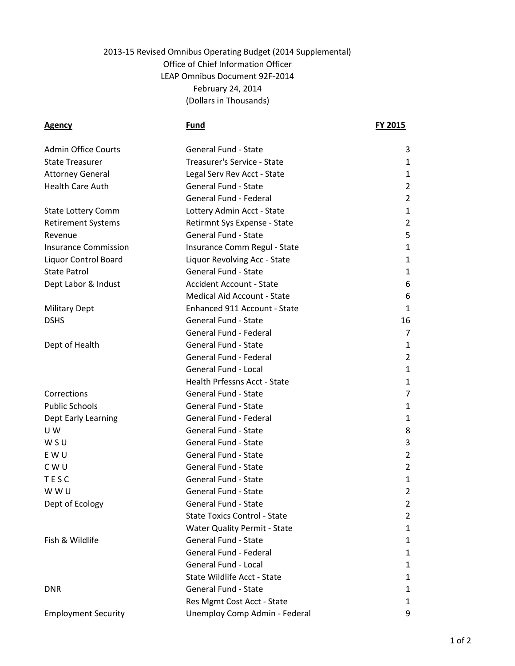## 2013-15 Revised Omnibus Operating Budget (2014 Supplemental) Office of Chief Information Officer LEAP Omnibus Document 92F-2014 February 24, 2014 (Dollars in Thousands)

## Agency **Fund** Fund Fund Fund Fry 2015

| <b>Admin Office Courts</b>  | <b>General Fund - State</b>         | 3              |
|-----------------------------|-------------------------------------|----------------|
| <b>State Treasurer</b>      | Treasurer's Service - State         | 1              |
| <b>Attorney General</b>     | Legal Serv Rev Acct - State         | 1              |
| <b>Health Care Auth</b>     | <b>General Fund - State</b>         | $\overline{2}$ |
|                             | General Fund - Federal              | $\overline{2}$ |
| <b>State Lottery Comm</b>   | Lottery Admin Acct - State          | 1              |
| <b>Retirement Systems</b>   | Retirmnt Sys Expense - State        | $\overline{2}$ |
| Revenue                     | <b>General Fund - State</b>         | 5              |
| <b>Insurance Commission</b> | Insurance Comm Regul - State        | 1              |
| <b>Liquor Control Board</b> | Liquor Revolving Acc - State        | 1              |
| <b>State Patrol</b>         | <b>General Fund - State</b>         | 1              |
| Dept Labor & Indust         | <b>Accident Account - State</b>     | 6              |
|                             | <b>Medical Aid Account - State</b>  | 6              |
| <b>Military Dept</b>        | Enhanced 911 Account - State        | 1              |
| <b>DSHS</b>                 | <b>General Fund - State</b>         | 16             |
|                             | General Fund - Federal              | 7              |
| Dept of Health              | <b>General Fund - State</b>         | 1              |
|                             | General Fund - Federal              | $\overline{2}$ |
|                             | General Fund - Local                | 1              |
|                             | Health Prfessns Acct - State        | 1              |
| Corrections                 | <b>General Fund - State</b>         | 7              |
| <b>Public Schools</b>       | <b>General Fund - State</b>         | 1              |
| Dept Early Learning         | General Fund - Federal              | 1              |
| UW                          | <b>General Fund - State</b>         | 8              |
| WSU                         | <b>General Fund - State</b>         | 3              |
| E W U                       | <b>General Fund - State</b>         | $\overline{2}$ |
| C W U                       | <b>General Fund - State</b>         | $\overline{2}$ |
| TESC                        | <b>General Fund - State</b>         | 1              |
| W W U                       | <b>General Fund - State</b>         | $\overline{2}$ |
| Dept of Ecology             | <b>General Fund - State</b>         | $\overline{2}$ |
|                             | <b>State Toxics Control - State</b> | 2              |
|                             | <b>Water Quality Permit - State</b> | 1              |
| Fish & Wildlife             | <b>General Fund - State</b>         | 1              |
|                             | General Fund - Federal              | 1              |
|                             | General Fund - Local                | 1              |
|                             | State Wildlife Acct - State         | 1              |
| <b>DNR</b>                  | <b>General Fund - State</b>         | 1              |
|                             | Res Mgmt Cost Acct - State          | 1              |
| <b>Employment Security</b>  | Unemploy Comp Admin - Federal       | 9              |